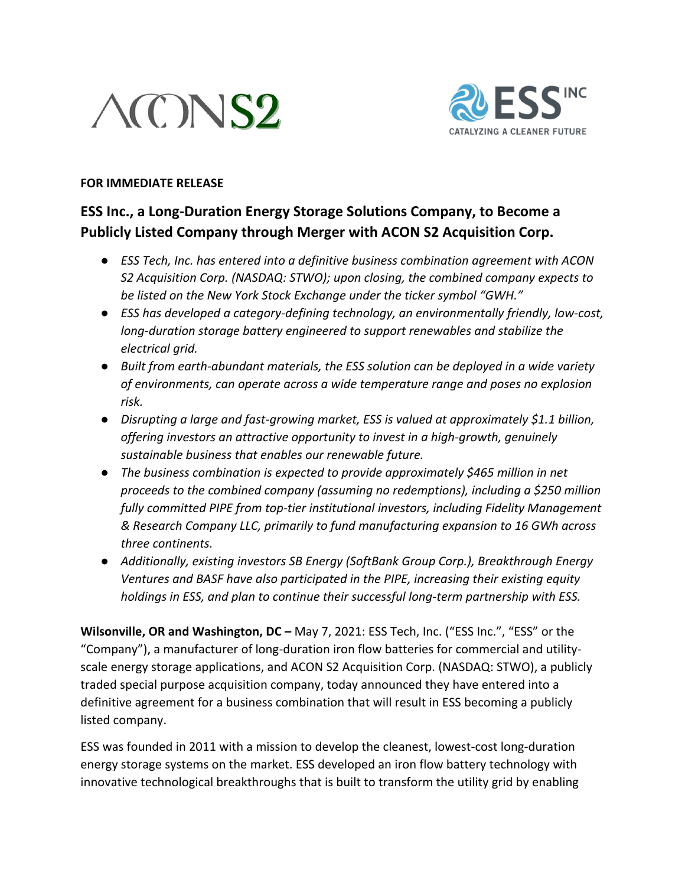# $\triangle$ CNS2



#### **FOR IMMEDIATE RELEASE**

# **ESS Inc., a Long-Duration Energy Storage Solutions Company, to Become a Publicly Listed Company through Merger with ACON S2 Acquisition Corp.**

- *ESS Tech, Inc. has entered into a definitive business combination agreement with ACON S2 Acquisition Corp. (NASDAQ: STWO); upon closing, the combined company expects to be listed on the New York Stock Exchange under the ticker symbol "GWH."*
- *ESS has developed a category-defining technology, an environmentally friendly, low-cost, long-duration storage battery engineered to support renewables and stabilize the electrical grid.*
- *Built from earth-abundant materials, the ESS solution can be deployed in a wide variety of environments, can operate across a wide temperature range and poses no explosion risk.*
- *Disrupting a large and fast-growing market, ESS is valued at approximately \$1.1 billion, offering investors an attractive opportunity to invest in a high-growth, genuinely sustainable business that enables our renewable future.*
- *The business combination is expected to provide approximately \$465 million in net proceeds to the combined company (assuming no redemptions), including a \$250 million fully committed PIPE from top-tier institutional investors, including Fidelity Management & Research Company LLC, primarily to fund manufacturing expansion to 16 GWh across three continents.*
- *Additionally, existing investors SB Energy (SoftBank Group Corp.), Breakthrough Energy Ventures and BASF have also participated in the PIPE, increasing their existing equity holdings in ESS, and plan to continue their successful long-term partnership with ESS.*

**Wilsonville, OR and Washington, DC –** May 7, 2021: ESS Tech, Inc. ("ESS Inc.", "ESS" or the "Company"), a manufacturer of long-duration iron flow batteries for commercial and utilityscale energy storage applications, and ACON S2 Acquisition Corp. (NASDAQ: STWO), a publicly traded special purpose acquisition company, today announced they have entered into a definitive agreement for a business combination that will result in ESS becoming a publicly listed company.

ESS was founded in 2011 with a mission to develop the cleanest, lowest-cost long-duration energy storage systems on the market. ESS developed an iron flow battery technology with innovative technological breakthroughs that is built to transform the utility grid by enabling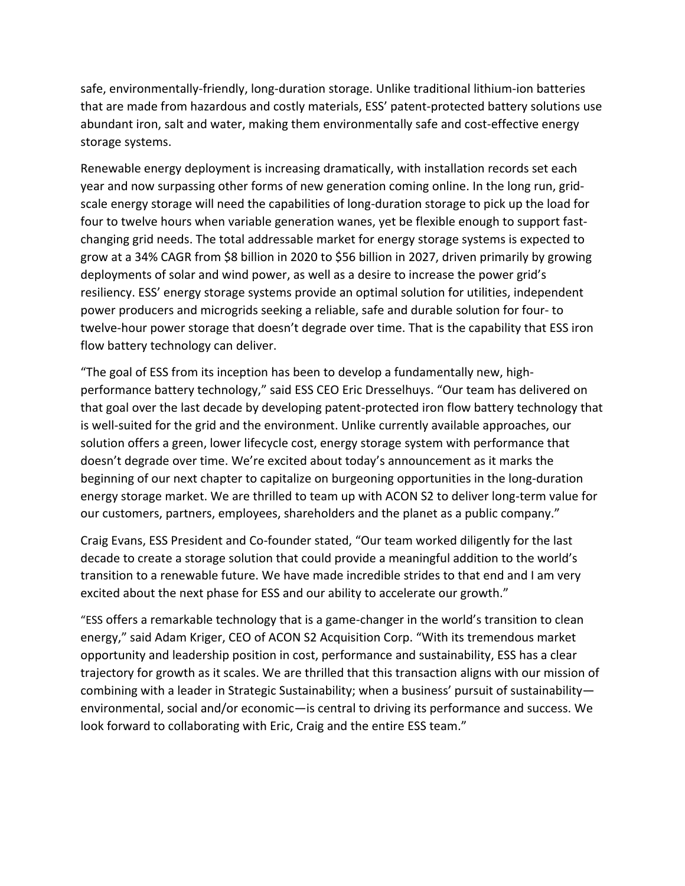safe, environmentally-friendly, long-duration storage. Unlike traditional lithium-ion batteries that are made from hazardous and costly materials, ESS' patent-protected battery solutions use abundant iron, salt and water, making them environmentally safe and cost-effective energy storage systems.

Renewable energy deployment is increasing dramatically, with installation records set each year and now surpassing other forms of new generation coming online. In the long run, gridscale energy storage will need the capabilities of long-duration storage to pick up the load for four to twelve hours when variable generation wanes, yet be flexible enough to support fastchanging grid needs. The total addressable market for energy storage systems is expected to grow at a 34% CAGR from \$8 billion in 2020 to \$56 billion in 2027, driven primarily by growing deployments of solar and wind power, as well as a desire to increase the power grid's resiliency. ESS' energy storage systems provide an optimal solution for utilities, independent power producers and microgrids seeking a reliable, safe and durable solution for four- to twelve-hour power storage that doesn't degrade over time. That is the capability that ESS iron flow battery technology can deliver.

"The goal of ESS from its inception has been to develop a fundamentally new, highperformance battery technology," said ESS CEO Eric Dresselhuys. "Our team has delivered on that goal over the last decade by developing patent-protected iron flow battery technology that is well-suited for the grid and the environment. Unlike currently available approaches, our solution offers a green, lower lifecycle cost, energy storage system with performance that doesn't degrade over time. We're excited about today's announcement as it marks the beginning of our next chapter to capitalize on burgeoning opportunities in the long-duration energy storage market. We are thrilled to team up with ACON S2 to deliver long-term value for our customers, partners, employees, shareholders and the planet as a public company."

Craig Evans, ESS President and Co-founder stated, "Our team worked diligently for the last decade to create a storage solution that could provide a meaningful addition to the world's transition to a renewable future. We have made incredible strides to that end and I am very excited about the next phase for ESS and our ability to accelerate our growth."

"ESS offers a remarkable technology that is a game-changer in the world's transition to clean energy," said Adam Kriger, CEO of ACON S2 Acquisition Corp. "With its tremendous market opportunity and leadership position in cost, performance and sustainability, ESS has a clear trajectory for growth as it scales. We are thrilled that this transaction aligns with our mission of combining with a leader in Strategic Sustainability; when a business' pursuit of sustainability environmental, social and/or economic—is central to driving its performance and success. We look forward to collaborating with Eric, Craig and the entire ESS team."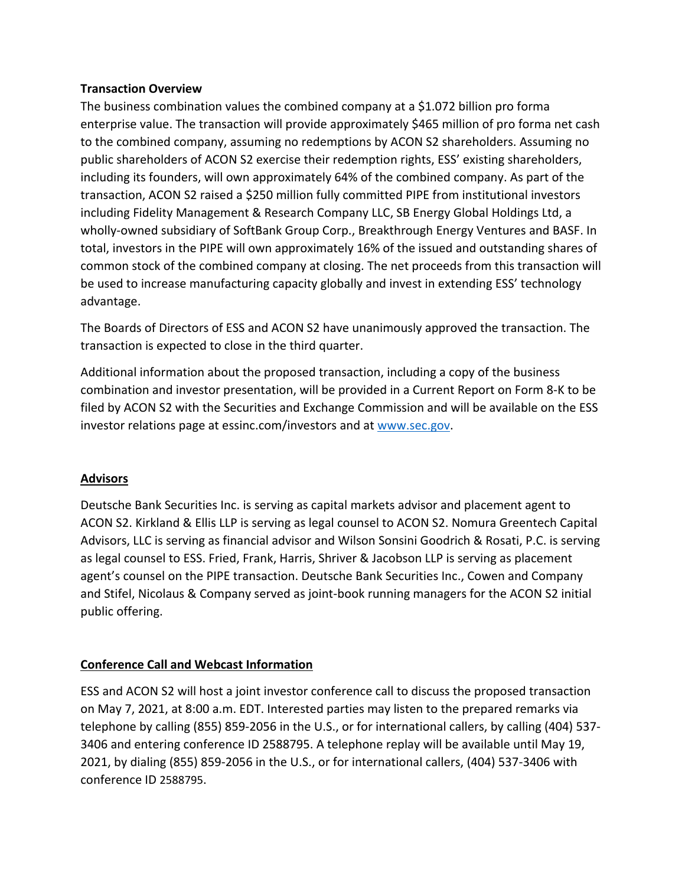#### **Transaction Overview**

The business combination values the combined company at a \$1.072 billion pro forma enterprise value. The transaction will provide approximately \$465 million of pro forma net cash to the combined company, assuming no redemptions by ACON S2 shareholders. Assuming no public shareholders of ACON S2 exercise their redemption rights, ESS' existing shareholders, including its founders, will own approximately 64% of the combined company. As part of the transaction, ACON S2 raised a \$250 million fully committed PIPE from institutional investors including Fidelity Management & Research Company LLC, SB Energy Global Holdings Ltd, a wholly-owned subsidiary of SoftBank Group Corp., Breakthrough Energy Ventures and BASF. In total, investors in the PIPE will own approximately 16% of the issued and outstanding shares of common stock of the combined company at closing. The net proceeds from this transaction will be used to increase manufacturing capacity globally and invest in extending ESS' technology advantage.

The Boards of Directors of ESS and ACON S2 have unanimously approved the transaction. The transaction is expected to close in the third quarter.

Additional information about the proposed transaction, including a copy of the business combination and investor presentation, will be provided in a Current Report on Form 8-K to be filed by ACON S2 with the Securities and Exchange Commission and will be available on the ESS investor relations page at essinc.com/investors and at [www.sec.gov.](http://www.sec.gov/)

# **Advisors**

Deutsche Bank Securities Inc. is serving as capital markets advisor and placement agent to ACON S2. Kirkland & Ellis LLP is serving as legal counsel to ACON S2. Nomura Greentech Capital Advisors, LLC is serving as financial advisor and Wilson Sonsini Goodrich & Rosati, P.C. is serving as legal counsel to ESS. Fried, Frank, Harris, Shriver & Jacobson LLP is serving as placement agent's counsel on the PIPE transaction. Deutsche Bank Securities Inc., Cowen and Company and Stifel, Nicolaus & Company served as joint-book running managers for the ACON S2 initial public offering.

# **Conference Call and Webcast Information**

ESS and ACON S2 will host a joint investor conference call to discuss the proposed transaction on May 7, 2021, at 8:00 a.m. EDT. Interested parties may listen to the prepared remarks via telephone by calling (855) 859-2056 in the U.S., or for international callers, by calling (404) 537- 3406 and entering conference ID 2588795. A telephone replay will be available until May 19, 2021, by dialing (855) 859-2056 in the U.S., or for international callers, (404) 537-3406 with conference ID 2588795.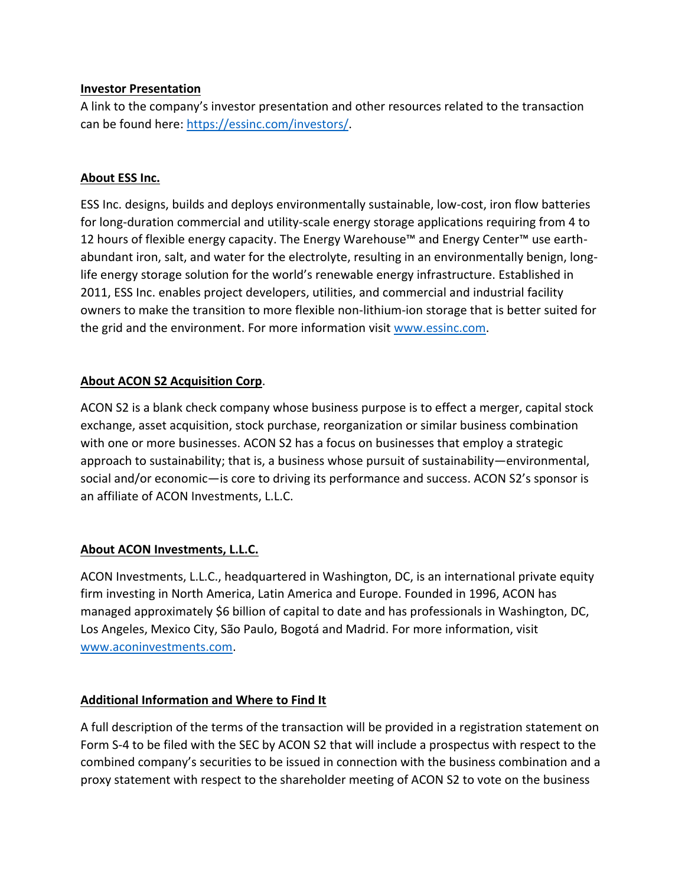#### **Investor Presentation**

A link to the company's investor presentation and other resources related to the transaction can be found here: [https://essinc.com/investors/.](https://essinc.com/investors/)

#### **About ESS Inc.**

ESS Inc. designs, builds and deploys environmentally sustainable, low-cost, iron flow batteries for long-duration commercial and utility-scale energy storage applications requiring from 4 to 12 hours of flexible energy capacity. The Energy Warehouse™ and Energy Center™ use earthabundant iron, salt, and water for the electrolyte, resulting in an environmentally benign, longlife energy storage solution for the world's renewable energy infrastructure. Established in 2011, ESS Inc. enables project developers, utilities, and commercial and industrial facility owners to make the transition to more flexible non-lithium-ion storage that is better suited for the grid and the environment. For more information visit [www.essinc.com.](http://www.essinc.com/)

# **About ACON S2 Acquisition Corp**.

ACON S2 is a blank check company whose business purpose is to effect a merger, capital stock exchange, asset acquisition, stock purchase, reorganization or similar business combination with one or more businesses. ACON S2 has a focus on businesses that employ a strategic approach to sustainability; that is, a business whose pursuit of sustainability—environmental, social and/or economic—is core to driving its performance and success. ACON S2's sponsor is an affiliate of ACON Investments, L.L.C.

# **About ACON Investments, L.L.C.**

ACON Investments, L.L.C., headquartered in Washington, DC, is an international private equity firm investing in North America, Latin America and Europe. Founded in 1996, ACON has managed approximately \$6 billion of capital to date and has professionals in Washington, DC, Los Angeles, Mexico City, São Paulo, Bogotá and Madrid. For more information, visit [www.aconinvestments.com.](http://www.aconinvestments.com/)

# **Additional Information and Where to Find It**

A full description of the terms of the transaction will be provided in a registration statement on Form S-4 to be filed with the SEC by ACON S2 that will include a prospectus with respect to the combined company's securities to be issued in connection with the business combination and a proxy statement with respect to the shareholder meeting of ACON S2 to vote on the business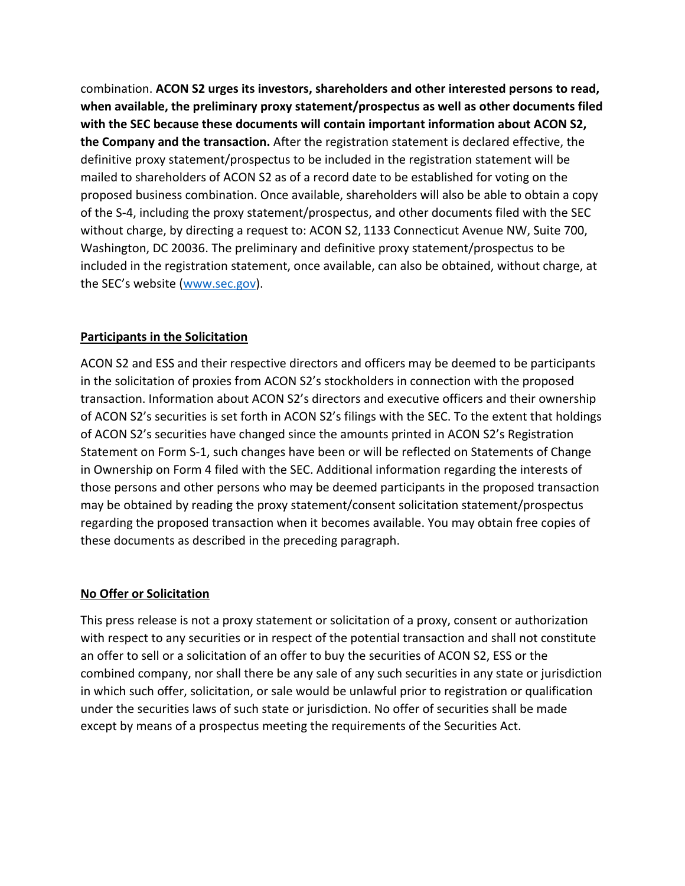combination. **ACON S2 urges its investors, shareholders and other interested persons to read, when available, the preliminary proxy statement/prospectus as well as other documents filed with the SEC because these documents will contain important information about ACON S2, the Company and the transaction.** After the registration statement is declared effective, the definitive proxy statement/prospectus to be included in the registration statement will be mailed to shareholders of ACON S2 as of a record date to be established for voting on the proposed business combination. Once available, shareholders will also be able to obtain a copy of the S-4, including the proxy statement/prospectus, and other documents filed with the SEC without charge, by directing a request to: ACON S2, 1133 Connecticut Avenue NW, Suite 700, Washington, DC 20036. The preliminary and definitive proxy statement/prospectus to be included in the registration statement, once available, can also be obtained, without charge, at the SEC's website ([www.sec.gov\)](https://protect-us.mimecast.com/s/piM5C9r2EjfxAJz7UOjdLD?domain=sec.gov).

# **Participants in the Solicitation**

ACON S2 and ESS and their respective directors and officers may be deemed to be participants in the solicitation of proxies from ACON S2's stockholders in connection with the proposed transaction. Information about ACON S2's directors and executive officers and their ownership of ACON S2's securities is set forth in ACON S2's filings with the SEC. To the extent that holdings of ACON S2's securities have changed since the amounts printed in ACON S2's Registration Statement on Form S-1, such changes have been or will be reflected on Statements of Change in Ownership on Form 4 filed with the SEC. Additional information regarding the interests of those persons and other persons who may be deemed participants in the proposed transaction may be obtained by reading the proxy statement/consent solicitation statement/prospectus regarding the proposed transaction when it becomes available. You may obtain free copies of these documents as described in the preceding paragraph.

#### **No Offer or Solicitation**

This press release is not a proxy statement or solicitation of a proxy, consent or authorization with respect to any securities or in respect of the potential transaction and shall not constitute an offer to sell or a solicitation of an offer to buy the securities of ACON S2, ESS or the combined company, nor shall there be any sale of any such securities in any state or jurisdiction in which such offer, solicitation, or sale would be unlawful prior to registration or qualification under the securities laws of such state or jurisdiction. No offer of securities shall be made except by means of a prospectus meeting the requirements of the Securities Act.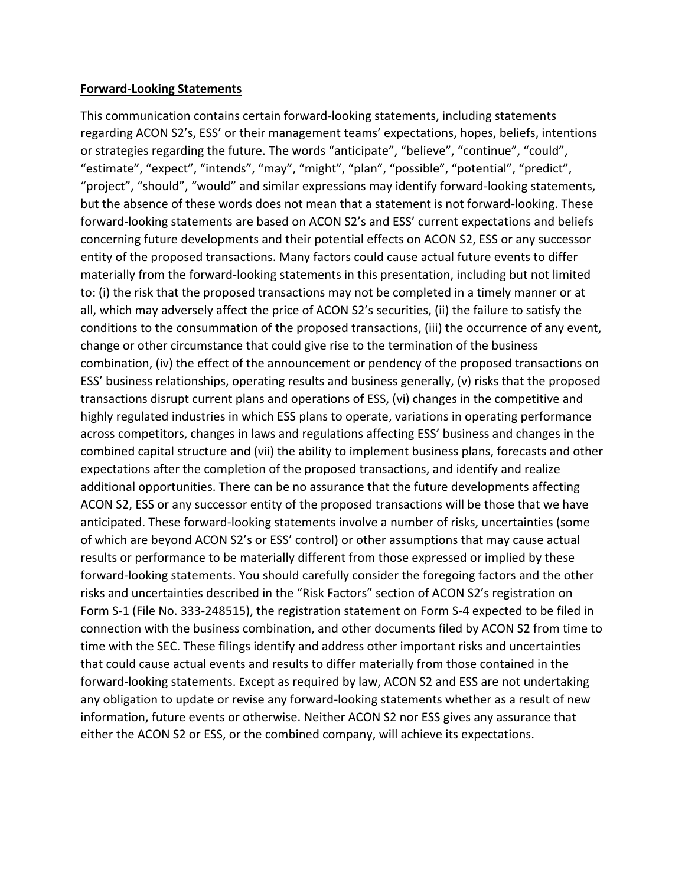#### **Forward-Looking Statements**

This communication contains certain forward-looking statements, including statements regarding ACON S2's, ESS' or their management teams' expectations, hopes, beliefs, intentions or strategies regarding the future. The words "anticipate", "believe", "continue", "could", "estimate", "expect", "intends", "may", "might", "plan", "possible", "potential", "predict", "project", "should", "would" and similar expressions may identify forward-looking statements, but the absence of these words does not mean that a statement is not forward-looking. These forward-looking statements are based on ACON S2's and ESS' current expectations and beliefs concerning future developments and their potential effects on ACON S2, ESS or any successor entity of the proposed transactions. Many factors could cause actual future events to differ materially from the forward-looking statements in this presentation, including but not limited to: (i) the risk that the proposed transactions may not be completed in a timely manner or at all, which may adversely affect the price of ACON S2's securities, (ii) the failure to satisfy the conditions to the consummation of the proposed transactions, (iii) the occurrence of any event, change or other circumstance that could give rise to the termination of the business combination, (iv) the effect of the announcement or pendency of the proposed transactions on ESS' business relationships, operating results and business generally, (v) risks that the proposed transactions disrupt current plans and operations of ESS, (vi) changes in the competitive and highly regulated industries in which ESS plans to operate, variations in operating performance across competitors, changes in laws and regulations affecting ESS' business and changes in the combined capital structure and (vii) the ability to implement business plans, forecasts and other expectations after the completion of the proposed transactions, and identify and realize additional opportunities. There can be no assurance that the future developments affecting ACON S2, ESS or any successor entity of the proposed transactions will be those that we have anticipated. These forward-looking statements involve a number of risks, uncertainties (some of which are beyond ACON S2's or ESS' control) or other assumptions that may cause actual results or performance to be materially different from those expressed or implied by these forward-looking statements. You should carefully consider the foregoing factors and the other risks and uncertainties described in the "Risk Factors" section of ACON S2's registration on Form S-1 (File No. 333-248515), the registration statement on Form S-4 expected to be filed in connection with the business combination, and other documents filed by ACON S2 from time to time with the SEC. These filings identify and address other important risks and uncertainties that could cause actual events and results to differ materially from those contained in the forward-looking statements. Except as required by law, ACON S2 and ESS are not undertaking any obligation to update or revise any forward-looking statements whether as a result of new information, future events or otherwise. Neither ACON S2 nor ESS gives any assurance that either the ACON S2 or ESS, or the combined company, will achieve its expectations.